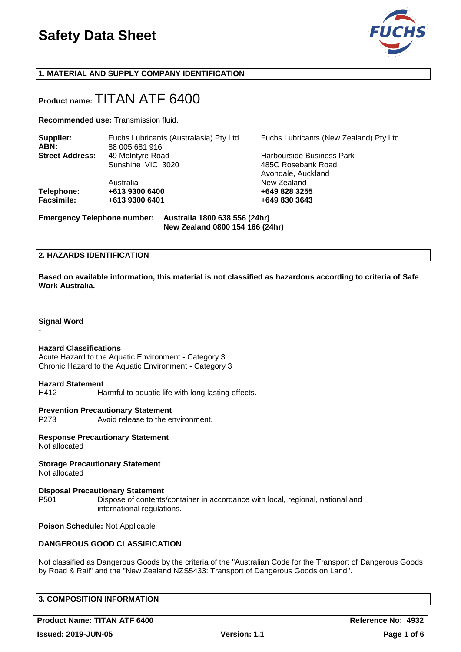

# **1. MATERIAL AND SUPPLY COMPANY IDENTIFICATION**

# **Product name:** TITAN ATF 6400

**Recommended use:** Transmission fluid.

| Supplier:<br>ABN:      | Fuchs Lubricants (Australasia) Pty Ltd<br>88 005 681 916 | Fuchs Lubricants (New Zealand) Pty Ltd   |  |  |
|------------------------|----------------------------------------------------------|------------------------------------------|--|--|
| <b>Street Address:</b> | 49 McIntyre Road                                         | Harbourside Business Park                |  |  |
|                        | Sunshine VIC 3020                                        | 485C Rosebank Road<br>Avondale, Auckland |  |  |
|                        | Australia                                                | New Zealand                              |  |  |
| Telephone:             | +613 9300 6400                                           | +649 828 3255                            |  |  |
| <b>Facsimile:</b>      | +613 9300 6401                                           | +649 830 3643                            |  |  |
|                        |                                                          |                                          |  |  |

**Emergency Telephone number: Australia 1800 638 556 (24hr)**

**New Zealand 0800 154 166 (24hr)**

#### **2. HAZARDS IDENTIFICATION**

**Based on available information, this material is not classified as hazardous according to criteria of Safe Work Australia.**

#### **Signal Word**

-

#### **Hazard Classifications**

Acute Hazard to the Aquatic Environment - Category 3 Chronic Hazard to the Aquatic Environment - Category 3

#### **Hazard Statement**

H412 Harmful to aquatic life with long lasting effects.

#### **Prevention Precautionary Statement**

P273 Avoid release to the environment.

**Response Precautionary Statement** Not allocated

**Storage Precautionary Statement** Not allocated

#### **Disposal Precautionary Statement**

P501 Dispose of contents/container in accordance with local, regional, national and international regulations.

**Poison Schedule:** Not Applicable

#### **DANGEROUS GOOD CLASSIFICATION**

Not classified as Dangerous Goods by the criteria of the "Australian Code for the Transport of Dangerous Goods by Road & Rail" and the "New Zealand NZS5433: Transport of Dangerous Goods on Land".

#### **3. COMPOSITION INFORMATION**

**Product Name: TITAN ATF 6400 Reference No: 4932**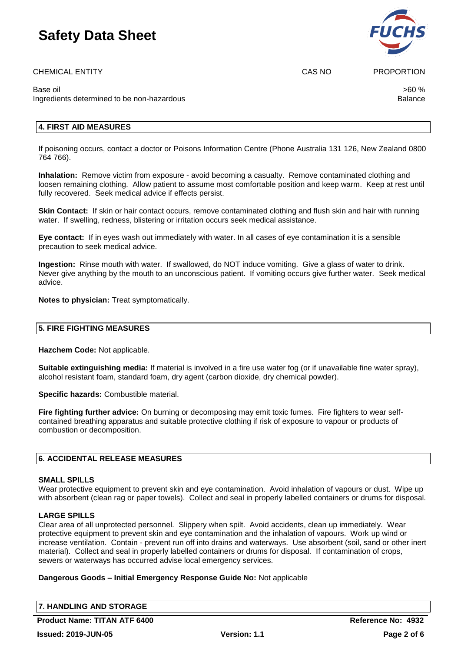CHEMICAL ENTITY **CAS NO PROPORTION** 

Base oil  $>$ 60 %  $\,$ Ingredients determined to be non-hazardous **Balance** Balance

# **4. FIRST AID MEASURES**

If poisoning occurs, contact a doctor or Poisons Information Centre (Phone Australia 131 126, New Zealand 0800 764 766).

**Inhalation:** Remove victim from exposure - avoid becoming a casualty. Remove contaminated clothing and loosen remaining clothing. Allow patient to assume most comfortable position and keep warm. Keep at rest until fully recovered. Seek medical advice if effects persist.

**Skin Contact:** If skin or hair contact occurs, remove contaminated clothing and flush skin and hair with running water. If swelling, redness, blistering or irritation occurs seek medical assistance.

**Eye contact:** If in eyes wash out immediately with water. In all cases of eye contamination it is a sensible precaution to seek medical advice.

**Ingestion:** Rinse mouth with water. If swallowed, do NOT induce vomiting. Give a glass of water to drink. Never give anything by the mouth to an unconscious patient. If vomiting occurs give further water. Seek medical advice.

**Notes to physician:** Treat symptomatically.

# **5. FIRE FIGHTING MEASURES**

**Hazchem Code:** Not applicable.

**Suitable extinguishing media:** If material is involved in a fire use water fog (or if unavailable fine water spray), alcohol resistant foam, standard foam, dry agent (carbon dioxide, dry chemical powder).

**Specific hazards:** Combustible material.

**Fire fighting further advice:** On burning or decomposing may emit toxic fumes. Fire fighters to wear selfcontained breathing apparatus and suitable protective clothing if risk of exposure to vapour or products of combustion or decomposition.

# **6. ACCIDENTAL RELEASE MEASURES**

#### **SMALL SPILLS**

Wear protective equipment to prevent skin and eve contamination. Avoid inhalation of vapours or dust. Wipe up with absorbent (clean rag or paper towels). Collect and seal in properly labelled containers or drums for disposal.

# **LARGE SPILLS**

Clear area of all unprotected personnel. Slippery when spilt. Avoid accidents, clean up immediately. Wear protective equipment to prevent skin and eye contamination and the inhalation of vapours. Work up wind or increase ventilation. Contain - prevent run off into drains and waterways. Use absorbent (soil, sand or other inert material). Collect and seal in properly labelled containers or drums for disposal. If contamination of crops, sewers or waterways has occurred advise local emergency services.

# **Dangerous Goods – Initial Emergency Response Guide No:** Not applicable

**7. HANDLING AND STORAGE**

**Product Name: TITAN ATF 6400 Reference No: 4932** 

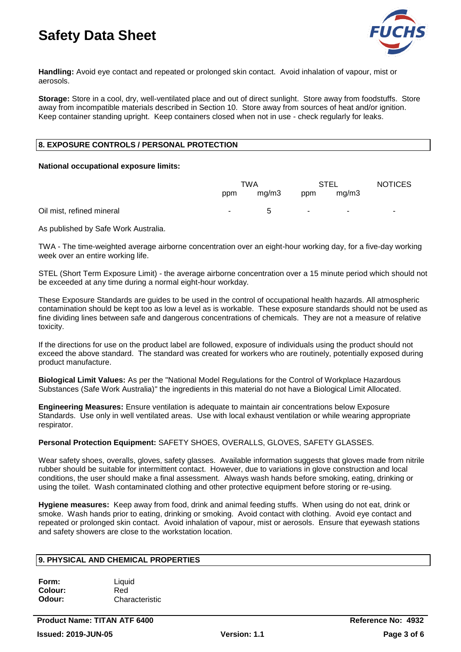

**Handling:** Avoid eye contact and repeated or prolonged skin contact. Avoid inhalation of vapour, mist or aerosols.

**Storage:** Store in a cool, dry, well-ventilated place and out of direct sunlight. Store away from foodstuffs. Store away from incompatible materials described in Section 10. Store away from sources of heat and/or ignition. Keep container standing upright. Keep containers closed when not in use - check regularly for leaks.

# **8. EXPOSURE CONTROLS / PERSONAL PROTECTION**

#### **National occupational exposure limits:**

|                           | TWA                      |              | <b>STEL</b> |                          | <b>NOTICES</b> |
|---------------------------|--------------------------|--------------|-------------|--------------------------|----------------|
|                           | ppm                      | mg/m3        | ppm         | mq/m3                    |                |
| Oil mist, refined mineral | $\overline{\phantom{a}}$ | <sub>5</sub> | н.          | $\overline{\phantom{0}}$ |                |

As published by Safe Work Australia.

TWA - The time-weighted average airborne concentration over an eight-hour working day, for a five-day working week over an entire working life.

STEL (Short Term Exposure Limit) - the average airborne concentration over a 15 minute period which should not be exceeded at any time during a normal eight-hour workday.

These Exposure Standards are guides to be used in the control of occupational health hazards. All atmospheric contamination should be kept too as low a level as is workable. These exposure standards should not be used as fine dividing lines between safe and dangerous concentrations of chemicals. They are not a measure of relative toxicity.

If the directions for use on the product label are followed, exposure of individuals using the product should not exceed the above standard. The standard was created for workers who are routinely, potentially exposed during product manufacture.

**Biological Limit Values:** As per the "National Model Regulations for the Control of Workplace Hazardous Substances (Safe Work Australia)" the ingredients in this material do not have a Biological Limit Allocated.

**Engineering Measures:** Ensure ventilation is adequate to maintain air concentrations below Exposure Standards. Use only in well ventilated areas. Use with local exhaust ventilation or while wearing appropriate respirator.

# **Personal Protection Equipment:** SAFETY SHOES, OVERALLS, GLOVES, SAFETY GLASSES.

Wear safety shoes, overalls, gloves, safety glasses. Available information suggests that gloves made from nitrile rubber should be suitable for intermittent contact. However, due to variations in glove construction and local conditions, the user should make a final assessment. Always wash hands before smoking, eating, drinking or using the toilet. Wash contaminated clothing and other protective equipment before storing or re-using.

**Hygiene measures:** Keep away from food, drink and animal feeding stuffs. When using do not eat, drink or smoke. Wash hands prior to eating, drinking or smoking. Avoid contact with clothing. Avoid eye contact and repeated or prolonged skin contact. Avoid inhalation of vapour, mist or aerosols. Ensure that eyewash stations and safety showers are close to the workstation location.

# **9. PHYSICAL AND CHEMICAL PROPERTIES**

| Form:   | Liquid         |
|---------|----------------|
| Colour: | Red            |
| Odour:  | Characteristic |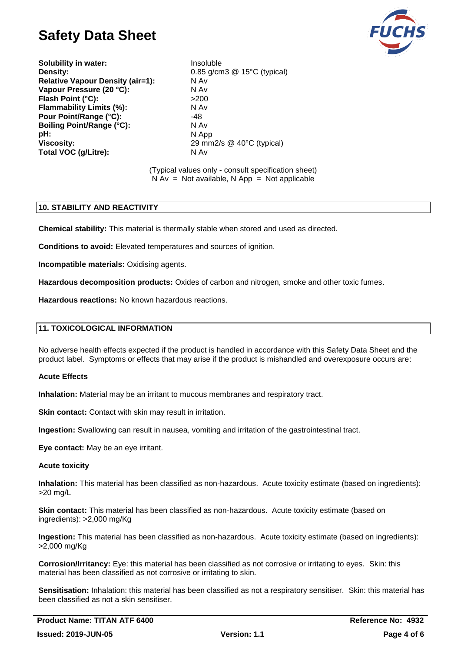

**Solubility in water:** Insoluble **Density:** 0.85 g/cm3 @ 15°C (typical) **Relative Vapour Density (air=1):** N Av **Vapour Pressure (20 °C):** N Av<br>
Flash Point (°C): >200 **Flash Point (°C): Flammability Limits (%):** N Av Pour Point/Range (°C): 48 **Boiling Point/Range (°C):** N Av **pH:** N App **Viscosity:** 29 mm2/s @ 40°C (typical) **Total VOC (g/Litre):** N Av

(Typical values only - consult specification sheet)  $N Av = Not available, N App = Not applicable$ 

# **10. STABILITY AND REACTIVITY**

**Chemical stability:** This material is thermally stable when stored and used as directed.

**Conditions to avoid:** Elevated temperatures and sources of ignition.

**Incompatible materials:** Oxidising agents.

**Hazardous decomposition products:** Oxides of carbon and nitrogen, smoke and other toxic fumes.

**Hazardous reactions:** No known hazardous reactions.

#### **11. TOXICOLOGICAL INFORMATION**

No adverse health effects expected if the product is handled in accordance with this Safety Data Sheet and the product label. Symptoms or effects that may arise if the product is mishandled and overexposure occurs are:

#### **Acute Effects**

**Inhalation:** Material may be an irritant to mucous membranes and respiratory tract.

**Skin contact:** Contact with skin may result in irritation.

**Ingestion:** Swallowing can result in nausea, vomiting and irritation of the gastrointestinal tract.

**Eye contact:** May be an eye irritant.

#### **Acute toxicity**

**Inhalation:** This material has been classified as non-hazardous. Acute toxicity estimate (based on ingredients): >20 mg/L

**Skin contact:** This material has been classified as non-hazardous. Acute toxicity estimate (based on ingredients): >2,000 mg/Kg

**Ingestion:** This material has been classified as non-hazardous. Acute toxicity estimate (based on ingredients): >2,000 mg/Kg

**Corrosion/Irritancy:** Eye: this material has been classified as not corrosive or irritating to eyes. Skin: this material has been classified as not corrosive or irritating to skin.

**Sensitisation:** Inhalation: this material has been classified as not a respiratory sensitiser. Skin: this material has been classified as not a skin sensitiser.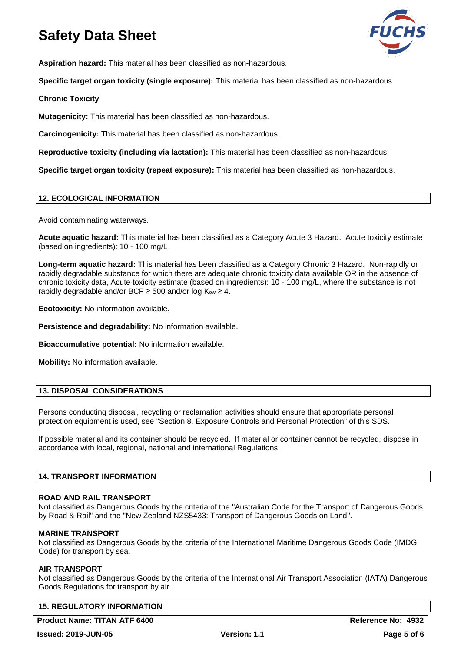

**Aspiration hazard:** This material has been classified as non-hazardous.

**Specific target organ toxicity (single exposure):** This material has been classified as non-hazardous.

**Chronic Toxicity**

**Mutagenicity:** This material has been classified as non-hazardous.

**Carcinogenicity:** This material has been classified as non-hazardous.

**Reproductive toxicity (including via lactation):** This material has been classified as non-hazardous.

**Specific target organ toxicity (repeat exposure):** This material has been classified as non-hazardous.

#### **12. ECOLOGICAL INFORMATION**

Avoid contaminating waterways.

**Acute aquatic hazard:** This material has been classified as a Category Acute 3 Hazard. Acute toxicity estimate (based on ingredients): 10 - 100 mg/L

**Long-term aquatic hazard:** This material has been classified as a Category Chronic 3 Hazard. Non-rapidly or rapidly degradable substance for which there are adequate chronic toxicity data available OR in the absence of chronic toxicity data, Acute toxicity estimate (based on ingredients): 10 - 100 mg/L, where the substance is not rapidly degradable and/or BCF  $\geq$  500 and/or log K<sub>ow</sub>  $\geq$  4.

**Ecotoxicity:** No information available.

**Persistence and degradability:** No information available.

**Bioaccumulative potential:** No information available.

**Mobility:** No information available.

# **13. DISPOSAL CONSIDERATIONS**

Persons conducting disposal, recycling or reclamation activities should ensure that appropriate personal protection equipment is used, see "Section 8. Exposure Controls and Personal Protection" of this SDS.

If possible material and its container should be recycled. If material or container cannot be recycled, dispose in accordance with local, regional, national and international Regulations.

# **14. TRANSPORT INFORMATION**

#### **ROAD AND RAIL TRANSPORT**

Not classified as Dangerous Goods by the criteria of the "Australian Code for the Transport of Dangerous Goods by Road & Rail" and the "New Zealand NZS5433: Transport of Dangerous Goods on Land".

#### **MARINE TRANSPORT**

Not classified as Dangerous Goods by the criteria of the International Maritime Dangerous Goods Code (IMDG Code) for transport by sea.

#### **AIR TRANSPORT**

Not classified as Dangerous Goods by the criteria of the International Air Transport Association (IATA) Dangerous Goods Regulations for transport by air.

# **15. REGULATORY INFORMATION**

**Product Name: TITAN ATF 6400 Reference No: 4932**